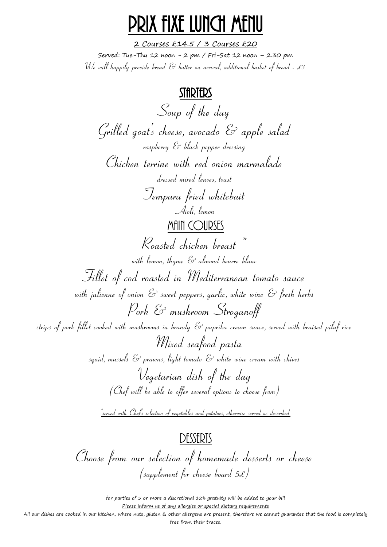## Prix fixe lunch MENU

2 Courses £14.5 / 3 Courses £20 Served: Tue-Thu 12 noon - 2 pm / Fri-Sat 12 noon – 2.30 pm We will happily provide bread  $\mathscr C$  butter on arrival, additional basket of bread - £3

### STARTERS

Soup of the day  $G$ rilled goat's cheese, avocado  $\mathcal C$  apple salad raspberry & black pepper dressing Chicken terrine with red onion marmalade dressed mixed leaves, toast Tempura fried whitebait Aioli, lemon **MAIN COURSES** Roasted chicken breast \* with lemon, thume  $\mathcal{E}$  almond beurre blanc Fillet of cod roasted in Mediterranean tomato sauce with julienne of onion  $\mathcal{E}$  sweet peppers, garlic, white wine  $\mathcal{E}$  fresh herbs Pork & mushroom Stroganoff strips of pork fillet cooked with mushrooms in brandy & paprika cream sauce, served with braised pilaf rice Mixed seafood pasta squid, mussels  $\mathcal E$  prawns, light tomato  $\mathcal E$  white wine cream with chives Vegetarian dish of the day (Chef will be able to offer several options to choose from) \*served with Chefs selection of vegetables and potatoes, otherwise served as described

## DESSERTS

Choose from our selection of homemade desserts or cheese (supplement for cheese board  $5f$ )

> for parties of 5 or more a discretional 12% gratuity will be added to your bill Please inform us of any allergies or special dietary requirements

All our dishes are cooked in our kitchen, where nuts, gluten & other allergens are present, therefore we cannot guarantee that the food is completely free from their traces.